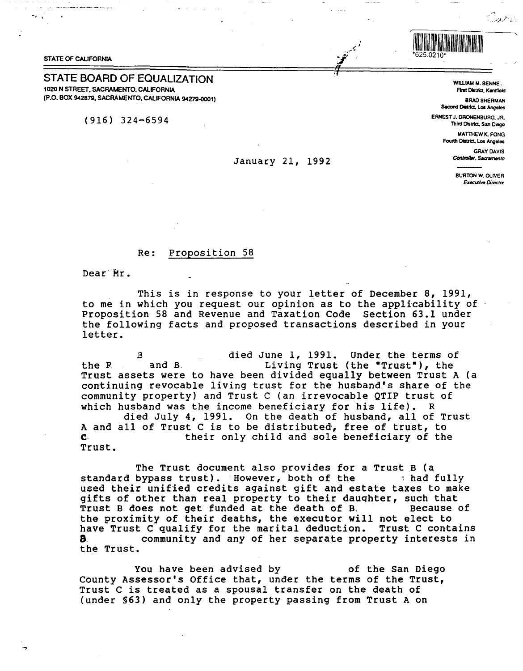## **STATE OF CALIFORNIA**

## **STATE BOARD OF EQUALIZATION** 1020 N STREET, SACRAMENTO, CALIFORNIA (P.O. BOX 942879, SACRAMENTO, CALIFORNIA 94279-0001)

 $(916)$  324-6594

## January 21, 1992

## $Re:$ Proposition 58

Dear Mr.

This is in response to your letter of December 8, 1991, to me in which you request our opinion as to the applicability of Proposition 58 and Revenue and Taxation Code Section 63.1 under the following facts and proposed transactions described in your letter.

died June 1, 1991. Under the terms of R Living Trust (the "Trust"), the and B. the R Trust assets were to have been divided equally between Trust A (a continuing revocable living trust for the husband's share of the community property) and Trust C (an irrevocable QTIP trust of which husband was the income beneficiary for his life). R died July 4, 1991. On the death of husband, all of Trust A and all of Trust C is to be distributed, free of trust, to their only child and sole beneficiary of the  $\mathbf{C}$ 

Trust.

The Trust document also provides for a Trust B (a standard bypass trust). However, both of the : had fully used their unified credits against gift and estate taxes to make gifts of other than real property to their daughter, such that Trust B does not get funded at the death of B. Because of the proximity of their deaths, the executor will not elect to have Trust C qualify for the marital deduction. Trust C contains 8. community and any of her separate property interests in the Trust.

You have been advised by of the San Diego County Assessor's Office that, under the terms of the Trust, Trust C is treated as a spousal transfer on the death of (under \$63) and only the property passing from Trust A on

WILLIAM M. BENNE. First District, Kentfleld

وتلاوب

**BRAD SHERMAN** Second District, Los Angeles

ERNEST J. DRONENBURG, JR. Third District, San Diego

> **MATTHEW K. FONG** Fourth District, Los Angeles

> > **GRAY DAVIS** Controller, Sacramento

**BURTON W. OLIVER Executive Director** 

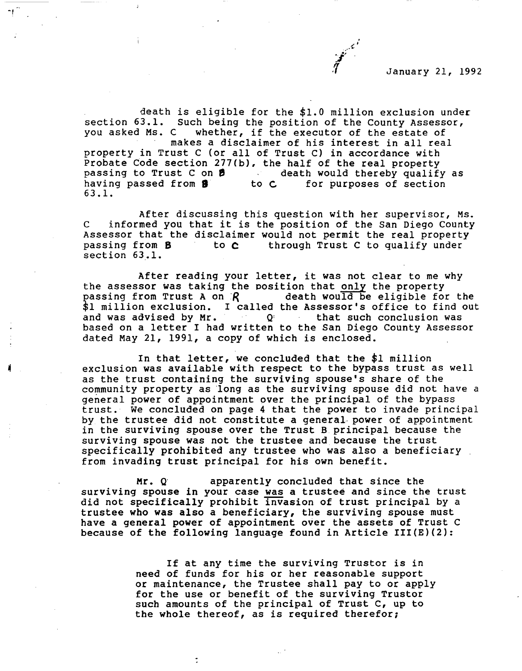

death is eligible for the \$1.0 million exclusion under section 63.1. Such being the position of the County Assessor,<br>you asked Ms. C whether, if the executor of the estate of whether, if the executor of the estate of makes a disclaimer of his interest in all real property in Trust C (or all of Trust C) in accordance with Probate Code section 277(b), the half of the real property<br>passing to Trust C on  $\beta$  death would thereby qualify as passing to Trust C on **9** degree to C and the extending passed from **9** degree to C for purposes of section 63 .1.

After discussing this question with her supervisor, Ms. <sup>c</sup>informed you that it is the position of the San Diego County Assessor that the disclaimer would not permit the real property passing from  $B$  to  $C$  through Trust C to qualify under through Trust C to qualify under section 63.1.

After reading your letter, it was not clear to me why the assessor was taking the position that only the property<br>passing from Trust A on  $\mathcal{R}$  death would be eligible for the passing from Trust A on  $R$ \$1 million exclusion. I called the Assessor's office to find out and was advised by Mr.  $Q<sup>i</sup>$  that such conclusion was and was advised by Mr. based on a letter I had written to the San Diego County Assessor dated May 21, 1991, a copy of which is enclosed.

In that letter, we concluded that the \$1 million exclusion was available with respect to the bypass trust as well as the trust containing the surviving spouse's share of the community property as ·1ong as the surviving spouse did not have a general power of appointment over the principal of the bypass trust. We concluded on page 4 that the power to invade principal by the trustee did not constitute a general power of appointment in the surviving spouse over the Trust B principal because the surviving spouse was not the trustee and because the trust specifically prohibited any trustee who was also a beneficiary from invading trust principal for his own benefit.

Mr. Q apparently concluded that since the surviving spouse in your case was a trustee and since the trust did not specifically prohibit invasion of trust principal by a trustee who was also a beneficiary, the surviving spouse must have a general power of appointment over the assets of Trust C because of the following language found in Article III(E)(2):

> If at any time the surviving Trustor is in need of funds for his or her reasonable support or maintenance, the Trustee shall pay to or apply for the use or benefit of the surviving Trustor such amounts of the principal of Trust c, up to the whole thereof, as is required therefor;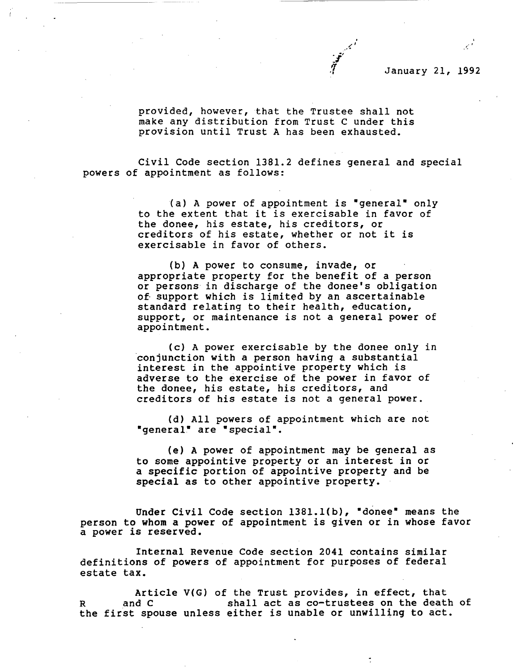

January 21, 1992

provided, however, that the Trustee shall not make any distribution from Trust C under this provision until Trust A has been exhausted.

Civil Code section 1381.2 defines general and special powers of appointment as follows:

> (a) A power of appointment is "general" only to the extent that it is exercisable in favor of the donee, his estate, his creditors, or creditors of his estate, whether or not it is exercisable in favor of others.

> (b) A power to consume, invade, or appropriate property for the benefit of a person or persons in discharge of the donee's obligation of support which is limited by an ascertainable standard relating to their health, education, support, or maintenance is not a general power of appointment.

> (c) A power exercisable by the donee only in conjunction with a person having a substantial interest in the appointive property which is adverse to the exercise of the power in favor of the donee, his estate, his creditors, and creditors of his estate is not a general power.

(d) All powers of appointment which are not "general" are "special".

(e) A power of appointment may be general as to some appointive property or an interest in or a specific portion of appointive property and be special as to other appointive property.

Under Civil Code section 1381.1(b), "donee" means the person to whom a power of appointment is given or in whose favor a power is reserved.

Internal Revenue Code section 2041 contains similar definitions of powers of appointment for purposes of federal estate tax.

Article V(G) of the Trust provides, in effect, that and C shall act as co-trustees on the death of the first spouse unless either is unable or unwilling to act.